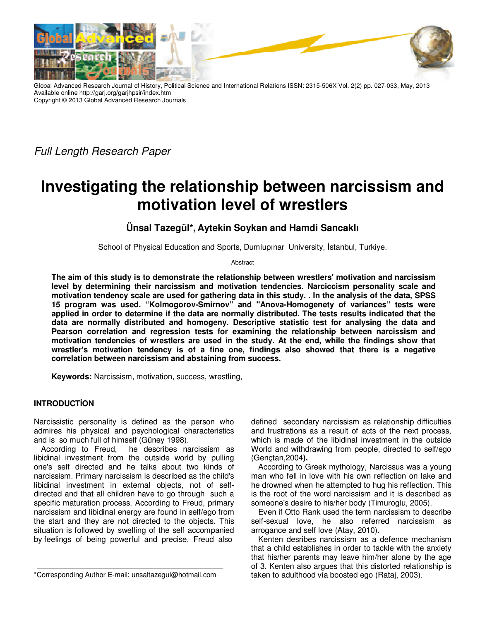

Global Advanced Research Journal of History, Political Science and International Relations ISSN: 2315-506X Vol. 2(2) pp. 027-033, May, 2013 Available online http://garj.org/garjhpsir/index.htm Copyright © 2013 Global Advanced Research Journals

*Full Length Research Paper*

# **Investigating the relationship between narcissism and motivation level of wrestlers**

**Ünsal Tazegül\*, Aytekin Soykan and Hamdi Sancaklı** 

School of Physical Education and Sports, Dumlupınar University, İstanbul, Turkiye.

Abstract

**The aim of this study is to demonstrate the relationship between wrestlers' motivation and narcissism level by determining their narcissism and motivation tendencies. Narciccism personality scale and motivation tendency scale are used for gathering data in this study. . In the analysis of the data, SPSS 15 program was used. "Kolmogorov-Smirnov" and ''Anova-Homogenety of variances" tests were applied in order to determine if the data are normally distributed. The tests results indicated that the data are normally distributed and homogeny. Descriptive statistic test for analysing the data and Pearson correlation and regression tests for examining the relationship between narcissism and motivation tendencies of wrestlers are used in the study. At the end, while the findings show that wrestler's motivation tendency is of a fine one, findings also showed that there is a negative correlation between narcissism and abstaining from success.** 

**Keywords:** Narcissism, motivation, success, wrestling,

## **INTRODUCTİON**

Narcissistic personality is defined as the person who admires his physical and psychological characteristics and is so much full of himself (Güney 1998).

According to Freud, he describes narcissism as libidinal investment from the outside world by pulling one's self directed and he talks about two kinds of narcissism. Primary narcissism is described as the child's libidinal investment in external objects, not of selfdirected and that all children have to go through such a specific maturation process. According to Freud, primary narcissism and libidinal energy are found in self/ego from the start and they are not directed to the objects. This situation is followed by swelling of the self accompanied by feelings of being powerful and precise. Freud also

defined secondary narcissism as relationship difficulties and frustrations as a result of acts of the next process, which is made of the libidinal investment in the outside World and withdrawing from people, directed to self/ego (Gençtan,2004**).**

According to Greek mythology, Narcissus was a young man who fell in love with his own reflection on lake and he drowned when he attempted to hug his reflection. This is the root of the word narcissism and it is described as someone's desire to his/her body (Timuroglu, 2005).

Even if Otto Rank used the term narcissism to describe self-sexual love, he also referred narcissism as arrogance and self love (Atay, 2010).

Kenten desribes narcissism as a defence mechanism that a child establishes in order to tackle with the anxiety that his/her parents may leave him/her alone by the age of 3. Kenten also argues that this distorted relationship is taken to adulthood via boosted ego (Rataj, 2003).

<sup>\*</sup>Corresponding Author E-mail: unsaltazegul@hotmail.com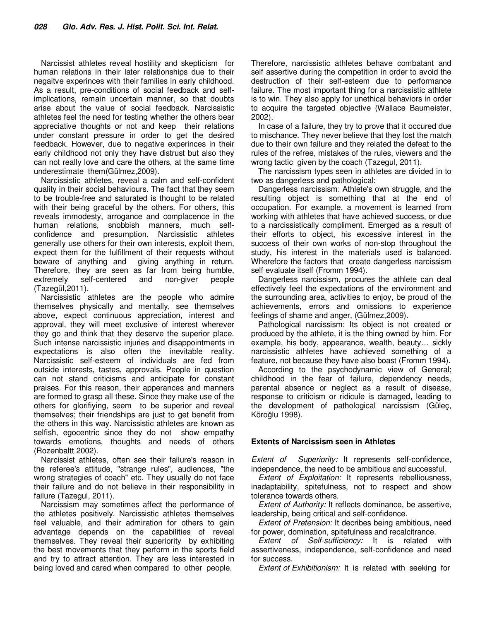Narcissist athletes reveal hostility and skepticism for human relations in their later relationships due to their negaitve experinces with their families in early childhood. As a result, pre-conditions of social feedback and selfimplications, remain uncertain manner, so that doubts arise about the value of social feedback. Narcissistic athletes feel the need for testing whether the others bear appreciative thoughts or not and keep their relations under constant pressure in order to get the desired feedback. However, due to negative experinces in their early childhood not only they have distrust but also they can not really love and care the others, at the same time underestimate them(Gülmez,2009).

Narcissistic athletes, reveal a calm and self-confident quality in their social behaviours. The fact that they seem to be trouble-free and saturated is thought to be related with their being graceful by the others. For others, this reveals immodesty, arrogance and complacence in the human relations, snobbish manners, much selfconfidence and presumption. Narcissistic athletes generally use others for their own interests, exploit them, expect them for the fulfillment of their requests without beware of anything and giving anything in return. Therefore, they are seen as far from being humble, extremely self-centered and non-giver people (Tazegül,2011).

Narcissistic athletes are the people who admire themselves physically and mentally, see themselves above, expect continuous appreciation, interest and approval, they will meet exclusive of interest wherever they go and think that they deserve the superior place. Such intense narcissistic injuries and disappointments in expectations is also often the inevitable reality. Narcissistic self-esteem of individuals are fed from outside interests, tastes, approvals. People in question can not stand criticisms and anticipate for constant praises. For this reason, their apperances and manners are formed to grasp all these. Since they make use of the others for glorifiying, seem to be superior and reveal themselves; their friendships are just to get benefit from the others in this way. Narcissistic athletes are known as selfish, egocentric since they do not show empathy towards emotions, thoughts and needs of others (Rozenbaltt 2002).

Narcissist athletes, often see their failure's reason in the referee's attitude, "strange rules", audiences, "the wrong strategies of coach" etc. They usually do not face their failure and do not believe in their responsibility in failure (Tazegul, 2011).

Narcissism may sometimes affect the performance of the athletes positively. Narcissistic athletes themselves feel valuable, and their admiration for others to gain advantage depends on the capabilities of reveal themselves. They reveal their superiority by exhibiting the best movements that they perform in the sports field and try to attract attention. They are less interested in being loved and cared when compared to other people.

Therefore, narcissistic athletes behave combatant and self assertive during the competition in order to avoid the destruction of their self-esteem due to performance failure. The most important thing for a narcissistic athlete is to win. They also apply for unethical behaviors in order to acquire the targeted objective (Wallace Baumeister, 2002).

In case of a failure, they try to prove that it occured due to mischance. They never believe that they lost the match due to their own failure and they related the defeat to the rules of the refree, mistakes of the rules, viewers and the wrong tactic given by the coach (Tazegul, 2011).

The narcissism types seen in athletes are divided in to two as dangerless and pathological:

Dangerless narcissism: Athlete's own struggle, and the resulting object is something that at the end of occupation. For example, a movement is learned from working with athletes that have achieved success, or due to a narcissistically compliment. Emerged as a result of their efforts to object, his excessive interest in the success of their own works of non-stop throughout the study, his interest in the materials used is balanced. Wherefore the factors that create dangerless narcissism self evaluate itself (Fromm 1994).

Dangerless narcissism, procures the athlete can deal effectively feel the expectations of the environment and the surrounding area, activities to enjoy, be proud of the achievements, errors and omissions to experience feelings of shame and anger, (Gülmez,2009).

Pathological narcissism: Its object is not created or produced by the athlete, it is the thing owned by him. For example, his body, appearance, wealth, beauty… sickly narcissistic athletes have achieved something of a feature, not because they have also boast (Fromm 1994).

According to the psychodynamic view of General; childhood in the fear of failure, dependency needs, parental absence or neglect as a result of disease, response to criticism or ridicule is damaged, leading to the development of pathological narcissism (Güleç, Köroğlu 1998).

#### **Extents of Narcissism seen in Athletes**

*Extent of Superiority:* It represents self-confidence, independence, the need to be ambitious and successful.

*Extent of Exploitation:* It represents rebelliousness, inadaptability, spitefulness, not to respect and show tolerance towards others.

*Extent of Authority:* It reflects dominance, be assertive, leadership, being critical and self-confidence.

*Extent of Pretension:* It decribes being ambitious, need for power, domination, spitefulness and recalcitrance.

*Extent of Self-sufficiency:* It is related with assertiveness, independence, self-confidence and need for success.

*Extent of Exhibitionism:* It is related with seeking for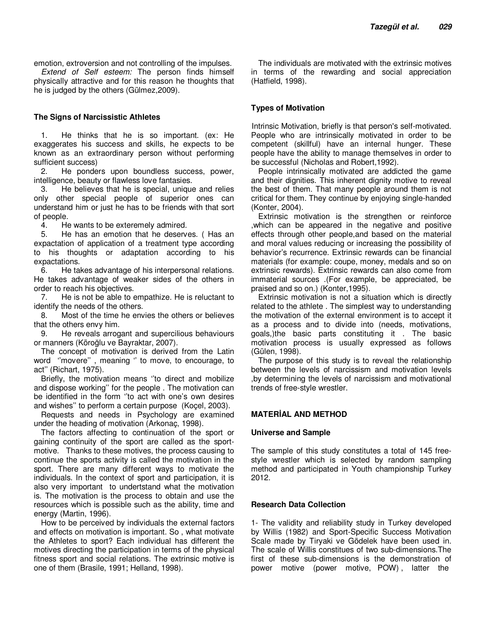emotion, extroversion and not controlling of the impulses. *Extend of Self esteem:* The person finds himself physically attractive and for this reason he thoughts that he is judged by the others (Gülmez,2009).

#### **The Signs of Narcissistic Athletes**

1. He thinks that he is so important. (ex: He exaggerates his success and skills, he expects to be known as an extraordinary person without performing sufficient success)

2. He ponders upon boundless success, power, intelligence, beauty or flawless love fantasies.

3. He believes that he is special, unique and relies only other special people of superior ones can understand him or just he has to be friends with that sort of people.

4. He wants to be exteremely admired.

5. He has an emotion that he deserves. ( Has an expactation of application of a treatment type according to his thoughts or adaptation according to his expactations.

6. He takes advantage of his interpersonal relations. He takes advantage of weaker sides of the others in order to reach his objectives.

7. He is not be able to empathize. He is reluctant to identify the needs of the others.

8. Most of the time he envies the others or believes that the others envy him.

9. He reveals arrogant and supercilious behaviours or manners (Köroğlu ve Bayraktar, 2007).

The concept of motivation is derived from the Latin word ''movere'' , meaning '' to move, to encourage, to act'' (Richart, 1975).

Briefly, the motivation means ''to direct and mobilize and dispose working'' for the people . The motivation can be identified in the form ''to act with one's own desires and wishes'' to perform a certain purpose (Koçel, 2003).

Requests and needs in Psychology are examined under the heading of motivation (Arkonaç, 1998).

The factors affecting to continuation of the sport or gaining continuity of the sport are called as the sportmotive. Thanks to these motives, the process causing to continue the sports activity is called the motivation in the sport. There are many different ways to motivate the individuals. In the context of sport and participation, it is also very important to undertstand what the motivation is. The motivation is the process to obtain and use the resources which is possible such as the ability, time and energy (Martin, 1996).

How to be perceived by individuals the external factors and effects on motivation is important. So , what motivate the Athletes to sport? Each individual has different the motives directing the participation in terms of the physical fitness sport and social relations. The extrinsic motive is one of them (Brasile, 1991; Helland, 1998).

The individuals are motivated with the extrinsic motives in terms of the rewarding and social appreciation (Hatfield, 1998).

### **Types of Motivation**

Intrinsic Motivation, briefly is that person's self-motivated. People who are intrinsically motivated in order to be competent (skillful) have an internal hunger. These people have the ability to manage themselves in order to be successful (Nicholas and Robert,1992).

People intrinsically motivated are addicted the game and their dignities. This inherent dignity motive to reveal the best of them. That many people around them is not critical for them. They continue by enjoying single-handed (Konter, 2004).

Extrinsic motivation is the strengthen or reinforce ,which can be appeared in the negative and positive effects through other people,and based on the material and moral values reducing or increasing the possibility of behavior's recurrence. Extrinsic rewards can be financial materials (for example: coupe, money, medals and so on extrinsic rewards). Extrinsic rewards can also come from immaterial sources .(For example, be appreciated, be praised and so on.) (Konter,1995).

Extrinsic motivation is not a situation which is directly related to the athlete . The simplest way to understanding the motivation of the external environment is to accept it as a process and to divide into (needs, motivations, goals,)the basic parts constituting it . The basic motivation process is usually expressed as follows (Gülen, 1998).

The purpose of this study is to reveal the relationship between the levels of narcissism and motivation levels ,by determining the levels of narcissism and motivational trends of free-style wrestler.

#### **MATERİAL AND METHOD**

#### **Universe and Sample**

The sample of this study constitutes a total of 145 freestyle wrestler which is selected by random sampling method and participated in Youth championship Turkey 2012.

#### **Research Data Collection**

1- The validity and reliability study in Turkey developed by Willis (1982) and Sport-Specific Success Motivation Scale made by Tiryaki ve Gödelek have been used in. The scale of Willis constitues of two sub-dimensions.The first of these sub-dimensions is the demonstration of power motive (power motive, POW) , latter the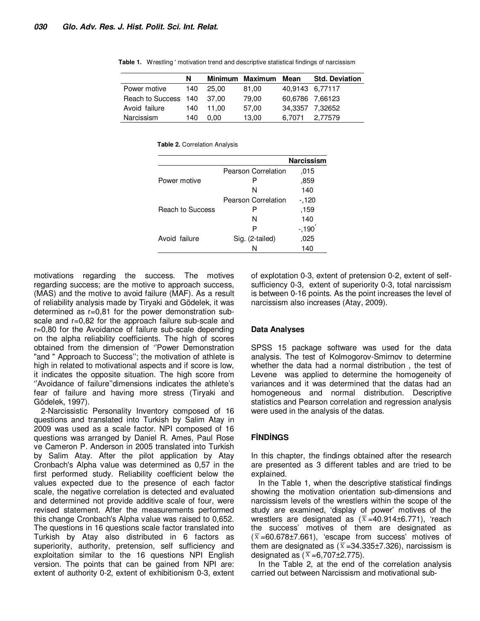|                            | N    |       | Minimum Maximum Mean |                 | <b>Std. Deviation</b> |
|----------------------------|------|-------|----------------------|-----------------|-----------------------|
| Power motive               | 140  | 25.00 | 81,00                | 40,9143 6,77117 |                       |
| Reach to Success 140 37,00 |      |       | 79.00                | 60,6786 7,66123 |                       |
| Avoid failure              | 140. | 11.00 | 57,00                | 34,3357 7,32652 |                       |
| Narcissism                 | 140  | 0.00  | 13,00                | 6.7071          | 2.77579               |

**Table 1.** Wrestling ' motivation trend and descriptive statistical findings of narcissism

**Table 2.** Correlation Analysis

|                         |                     | <b>Narcissism</b> |
|-------------------------|---------------------|-------------------|
|                         | Pearson Correlation | .015              |
| Power motive            | Р                   | .859              |
|                         | N                   | 140               |
|                         | Pearson Correlation | $-120$            |
| <b>Reach to Success</b> | Р                   | ,159              |
|                         | N                   | 140               |
|                         | P                   | $-190$            |
| Avoid failure           | Sig. (2-tailed)     | .025              |
|                         | N                   | 140               |

motivations regarding the success. The motives regarding success; are the motive to approach success, (MAS) and the motive to avoid failure (MAF). As a result of reliability analysis made by Tiryaki and Gödelek, it was determined as r=0,81 for the power demonstration subscale and r=0,82 for the approach failure sub-scale and r=0,80 for the Avoidance of failure sub-scale depending on the alpha reliability coefficients. The high of scores obtained from the dimension of ''Power Demonstration "and " Approach to Success''; the motivation of athlete is high in related to motivational aspects and if score is low, it indicates the opposite situation. The high score from ''Avoidance of failure''dimensions indicates the athlete's fear of failure and having more stress (Tiryaki and Gödelek, 1997).

2-Narcissistic Personality Inventory composed of 16 questions and translated into Turkish by Salim Atay in 2009 was used as a scale factor. NPI composed of 16 questions was arranged by Daniel R. Ames, Paul Rose ve Cameron P. Anderson in 2005 translated into Turkish by Salim Atay. After the pilot application by Atay Cronbach's Alpha value was determined as 0,57 in the first performed study. Reliability coefficient below the values expected due to the presence of each factor scale, the negative correlation is detected and evaluated and determined not provide additive scale of four, were revised statement. After the measurements performed this change Cronbach's Alpha value was raised to 0,652. The questions in 16 questions scale factor translated into Turkish by Atay also distributed in 6 factors as superiority, authority, pretension, self sufficiency and exploitation similar to the 16 questions NPI English version. The points that can be gained from NPI are: extent of authority 0-2, extent of exhibitionism 0-3, extent of explotation 0-3, extent of pretension 0-2, extent of selfsufficiency 0-3, extent of superiority 0-3, total narcissism is between 0-16 points. As the point increases the level of narcissism also increases (Atay, 2009).

#### **Data Analyses**

SPSS 15 package software was used for the data analysis. The test of Kolmogorov-Smirnov to determine whether the data had a normal distribution , the test of Levene was applied to determine the homogeneity of variances and it was determined that the datas had an homogeneous and normal distribution. Descriptive statistics and Pearson correlation and regression analysis were used in the analysis of the datas.

## **FİNDİNGS**

In this chapter, the findings obtained after the research are presented as 3 different tables and are tried to be explained.

In the Table 1, when the descriptive statistical findings showing the motivation orientation sub-dimensions and narcissism levels of the wrestlers within the scope of the study are examined, 'display of power' motives of the wrestlers are designated as  $(\overline{x} = 40.914 \pm 6.771)$ , 'reach the success' motives of them are designated as  $(\overline{x} = 60.678 \pm 7.661)$ , 'escape from success' motives of them are designated as ( $\overline{x}$  =34.335±7.326), narcissism is designated as  $(\overline{x} = 6,707 \pm 2.775)$ .

In the Table 2, at the end of the correlation analysis carried out between Narcissism and motivational sub-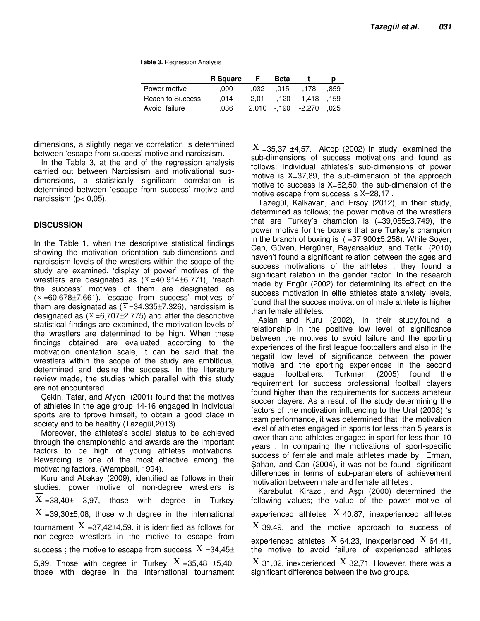**Table 3.** Regression Analysis

|                         | <b>R</b> Square |       | <b>Beta</b> |              | p    |
|-------------------------|-----------------|-------|-------------|--------------|------|
| Power motive            | .000            | .032  | .015        | .178         | .859 |
| <b>Reach to Success</b> | .014            | 2.01  |             | -.120 -1.418 | .159 |
| Avoid failure           | .036            | 2.010 |             | -.190 -2.270 | .025 |

dimensions, a slightly negative correlation is determined between 'escape from success' motive and narcissism.

In the Table 3, at the end of the regression analysis carried out between Narcissism and motivational subdimensions, a statistically significant correlation is determined between 'escape from success' motive and narcissism ( $p < 0.05$ ).

## **DİSCUSSİON**

In the Table 1, when the descriptive statistical findings showing the motivation orientation sub-dimensions and narcissism levels of the wrestlers within the scope of the study are examined, 'display of power' motives of the wrestlers are designated as  $(\overline{x} = 40.914 \pm 6.771)$ , 'reach the success' motives of them are designated as  $(\overline{x} = 60.678 \pm 7.661)$ , 'escape from success' motives of them are designated as ( $\overline{x}$  =34.335±7.326), narcissism is designated as  $(\bar{x} = 6,707 \pm 2.775)$  and after the descriptive statistical findings are examined, the motivation levels of the wrestlers are determined to be high. When these findings obtained are evaluated according to the motivation orientation scale, it can be said that the wrestlers within the scope of the study are ambitious, determined and desire the success. In the literature review made, the studies which parallel with this study are not encountered.

Çekin, Tatar, and Afyon (2001) found that the motives of athletes in the age group 14-16 engaged in individual sports are to tprove himself, to obtain a good place in society and to be healthy (Tazegül,2013).

Moreover, the athletes's social status to be achieved through the championship and awards are the important factors to be high of young athletes motivations. Rewarding is one of the most effective among the motivating factors. (Wampbell, 1994).

Kuru and Abakay (2009), identified as follows in their studies; power motive of non-degree wrestlers is  $X = 38,40 \pm 3,97$ , those with degree in Turkey  $X = 39,30 \pm 5,08$ , those with degree in the international tournament  $X = 37,42 \pm 4,59$ . it is identified as follows for non-degree wrestlers in the motive to escape from success ; the motive to escape from success  $X = 34.45 \pm 1.5$ 5,99. Those with degree in Turkey  $X = 35,48 \pm 5,40$ . those with degree in the international tournament

 $X = 35.37 \pm 4.57$ . Aktop (2002) in study, examined the sub-dimensions of success motivations and found as follows; Individual athletes's sub-dimensions of power motive is X=37,89, the sub-dimension of the approach motive to success is  $X=62,50$ , the sub-dimension of the motive escape from success is X=28,17 .

Tazegül, Kalkavan, and Ersoy (2012), in their study, determined as follows; the power motive of the wrestlers that are Turkey's champion is (=39,055±3.749), the power motive for the boxers that are Turkey's champion in the branch of boxing is  $(=37,900\pm5,258)$ . While Soyer, Can, Güven, Hergüner, Bayansalduz, and Tetik (2010) haven't found a significant relation between the ages and success motivations of the athletes , they found a significant relation in the gender factor. In the research made by Engür (2002) for determining its effect on the success motivation in elite athletes state anxiety levels, found that the succes motivation of male athlete is higher than female athletes.

Aslan and Kuru (2002), in their study,found a relationship in the positive low level of significance between the motives to avoid failure and the sporting experiences of the first league footballers and also in the negatif low level of significance between the power motive and the sporting experiences in the second league footballers. Turkmen (2005) found the requirement for success professional football players found higher than the requirements for success amateur soccer players. As a result of the study determining the factors of the motivation influencing to the Ural (2008) 's team performance, it was determined that the motivation level of athletes engaged in sports for less than 5 years is lower than and athletes engaged in sport for less than 10 years . In comparing the motivations of sport-specific success of female and male athletes made by Erman, Şahan, and Can (2004), it was not be found significant differences in terms of sub-parameters of achievement motivation between male and female athletes .

Karabulut, Kirazcı, and Aşçı (2000) determined the following values; the value of the power motive of experienced athletes  $X$  40.87, inexperienced athletes  $X$  39.49, and the motive approach to success of experienced athletes  $X$  64.23, inexperienced  $X$  64,41, the motive to avoid failure of experienced athletes  $X$  31,02, inexperienced  $X$  32,71. However, there was a significant difference between the two groups.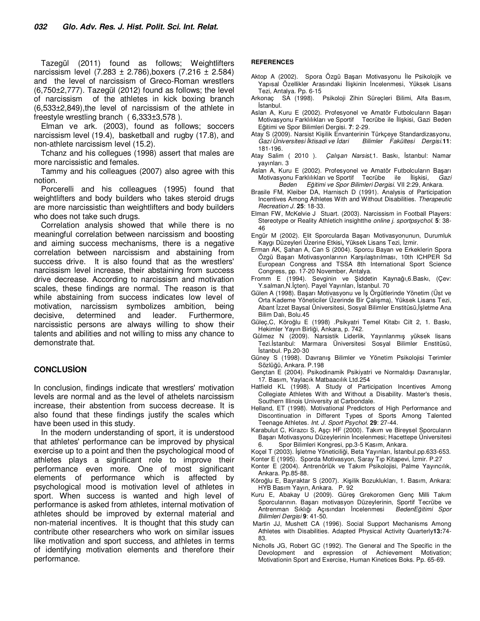Tazegül (2011) found as follows; Weightlifters narcissism level  $(7.283 \pm 2.786)$ , boxers  $(7.216 \pm 2.584)$ and the level of narcissism of Greco-Roman wrestlers (6,750±2,777). Tazegül (2012) found as follows; the level of narcissism of the athletes in kick boxing branch (6,533±2,849),the level of narcissism of the athlete in freestyle wrestling branch ( 6,333±3,578 ).

Elman ve ark. (2003), found as follows; soccers narcissism level (19.4), basketball and rugby (17.8), and non-athlete narcissism level (15.2).

Tchanz and his collegues (1998) assert that males are more narcissistic and females.

Tammy and his colleagues (2007) also agree with this notion.

Porcerelli and his colleagues (1995) found that weightlifters and body builders who takes steroid drugs are more narcissistic than weightlifters and body builders who does not take such drugs.

Correlation analysis showed that while there is no meaningful correlation between narcissism and boosting and aiming success mechanisms, there is a negative correlation between narcissism and abstaining from success drive. It is also found that as the wrestlers' narcissism level increase, their abstaining from success drive decrease. According to narcissism and motivation scales, these findings are normal. The reason is that while abstaining from success indicates low level of motivation, narcissism symbolizes ambition, being decisive, determined and leader. Furthermore, narcissistic persons are always willing to show their talents and abilities and not willing to miss any chance to demonstrate that.

#### **CONCLUSİON**

In conclusion, findings indicate that wrestlers' motivation levels are normal and as the level of athelets narcissism increase, their abstention from success decrease. It is also found that these findings justify the scales which have been used in this study.

In the modern understanding of sport, it is understood that athletes' performance can be improved by physical exercise up to a point and then the psychological mood of athletes plays a significant role to improve their performance even more. One of most significant elements of performance which is affected by psychological mood is motivation level of athletes in sport. When success is wanted and high level of performance is asked from athletes, internal motivation of athletes should be improved by external material and non-material incentives. It is thought that this study can contribute other researchers who work on similar issues like motivation and sport success, and athletes in terms of identifying motivation elements and therefore their performance.

#### **REFERENCES**

- Aktop A (2002). Spora Özgü Başarı Motivasyonu İle Psikolojik ve Yapısal Özellikler Arasındaki İlişkinin İncelenmesi, Yüksek Lisans Tezi, Antalya. Pp. 6-15
- Arkonaç SA (1998). Psikoloji Zihin Süreçleri Bilimi, Alfa Basım, İstanbul.
- Aslan A, Kuru E (2002). Profesyonel ve Amatör Futbolcuların Başarı Motivasyonu Farklılıkları ve Sportif Eğitimi ve Spor Bilimleri Dergisi. **7**: 2-29.
- Atay S (2009). Narsist Kişilik Envanterinin Türkçeye Standardizasyonu,<br>Gazi Üniversitesi İktisadi ve İdari Bilimler Fakültesi Dergisi.11: *Gazi Üniversitesi İktisadi ve İdari Bilimler Fakültesi Dergisi.***11**: 181-196.
- Atay Salim ( 2010 ). *Çalışan Narsist*,1. Baskı, İstanbul: Namar yayınları. 3
- Aslan A, Kuru E (2002). Profesyonel ve Amatör Futbolcuların Başarı Motivasyonu Farklılıkları ve Sportif Tecrübe ile İlişkisi*, Gazi Beden Eğitimi ve Spor Bilimleri Dergisi.* VII 2:29, Ankara.
- Brasile FM, Kleiber DA, Harnisch D (1991). Analysis of Participation Incentives Among Athletes With and Without Disabilities. *Therapeutic Recreation J.* **25**: 18-33.
- Elman FW, McKelvie J Stuart. (2003). Narcissism in Football Players: Stereotype or Reality Athletich insightthe *online j. sportpsychol.* **5**: 38- 46
- Engür M (2002). Elit Sporcularda Başarı Motivasyonunun, Durumluk Kaygı Düzeyleri Üzerine Etkisi**,** Yüksek Lisans Tezi, İzmir.
- Erman AK, Şahan A, Can S (2004). Sporcu Bayan ve Erkeklerin Spora Özgü Başarı Motivasyonlarının Karşılaştırılması, 10th ICHPER Sd European Congress and TSSA 8th International Sport Science Congress, pp. 17-20 November, Antalya.
- Fromm E (1994). Sevginin ve Şiddetin Kaynağı,6.Baskı, (Çev: Y.salman,N.İçten). Payel Yayınları, İstanbul. 70
- Gülen A (1998). Başarı Motivasyonu ve İş Örgütlerinde Yönetim (Üst ve Orta Kademe Yöneticiler Üzerinde Bir Çalışma), Yüksek Lisans Tezi, Abant İzzet Baysal Üniversitesi, Sosyal Bilimler Enstitüsü,İşletme Ana Bilim Dalı, Bolu.45
- Güleç,C, Köroğlu E (1998) .Psikyatri Temel Kitabı Cilt 2, 1. Baskı, Hekimler Yayın Birliği, Ankara, p. 742.
- Gülmez N (2009). Narsistik Liderlik, Yayınlanmış yüksek lisans Tezi.İstanbul: Marmara Üniversitesi Sosyal Bilimler Enstitüsü, İstanbul. Pp.20-30
- Güney S (1998). Davranış Bilimler ve Yönetim Psikolojisi Terimler Sözlüğü, Ankara. P.198
- Gençtan E (2004). Psikodinamik Psikiyatri ve Normaldışı Davranışlar, 17. Basım, Yaylacık Matbaacılık Ltd.254
- Hatfield KL (1998). A Study of Participation Incentives Among Collegiate Athletes With and Without a Disability. Master's thesis, Southern Illinois University at Carbondale.
- Helland, ET (1998). Motivational Predictors of High Performance and Discontinuation in Different Types of Sports Among Talented Teenage Athletes. *Int. J. Sport Psychol.* **29**: 27-44.
- Karabulut C, Kirazcı S, Aşçı HF (2000). Takım ve Bireysel Sporcuların Başarı Motivasyonu Düzeylerinin İncelenmesi; Hacettepe Üniversitesi Spor Bilimleri Kongresi, pp.3-5 Kasım, Ankara.
- Koçel T (2003). İşletme Yöneticiliği, Beta Yayınları, İstanbul.pp.633-653.
- Konter E (1995). Sporda Motivasyon, Saray Tıp Kitapevi, İzmir. P.27
- Konter E (2004). Antrenörlük ve Takım Psikolojisi, Palme Yayıncılık, Ankara. Pp.85-88.
- Köroğlu E, Bayraktar S (2007). .Kişilik Bozuklukları, 1. Basım, Ankara: HYB Basım Yayın, Ankara. P. 92
- Kuru E, Abakay U (2009). Güreş Grekoromen Genç Milli Takım Sporcularının. Başarı motivasyon Düzeylerinin, Sportif Tecrübe ve<br>Antrenman Sıklığı Açısından İncelenmesi BedenEğitimi Spor Antrenman Sıklığı Açısından *İncelenmesi Bilimleri Dergisi* **9**: 41-50.
- Martin JJ, Mushett CA (1996). Social Support Mechanisms Among Athletes with Disabilities. Adapted Physical Activity Quarterly**13:**74- 83.
- Nicholls JG, Robert GC (1992). The General and The Specific in the Devolopment and expression of Achievement Motivation; Motivationin Sport and Exercise, Human Kinetices Boks. Pp. 65-69.